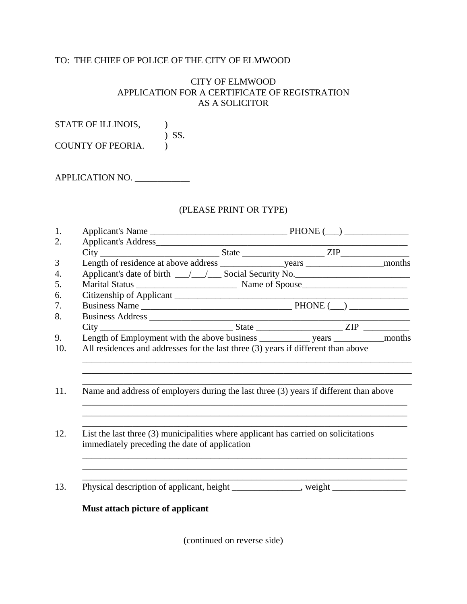## TO: THE CHIEF OF POLICE OF THE CITY OF ELMWOOD

## CITY OF ELMWOOD APPLICATION FOR A CERTIFICATE OF REGISTRATION AS A SOLICITOR

STATE OF ILLINOIS, ) SS.

COUNTY OF PEORIA.

APPLICATION NO.

## (PLEASE PRINT OR TYPE)

|  | immediately preceding the date of application | Applicant's date of birth __/__/___Social Security No.<br>Length of Employment with the above business ______________ years _____________ months<br>All residences and addresses for the last three (3) years if different than above<br>Name and address of employers during the last three (3) years if different than above<br>List the last three $(3)$ municipalities where applicant has carried on solicitations |
|--|-----------------------------------------------|-------------------------------------------------------------------------------------------------------------------------------------------------------------------------------------------------------------------------------------------------------------------------------------------------------------------------------------------------------------------------------------------------------------------------|

(continued on reverse side)